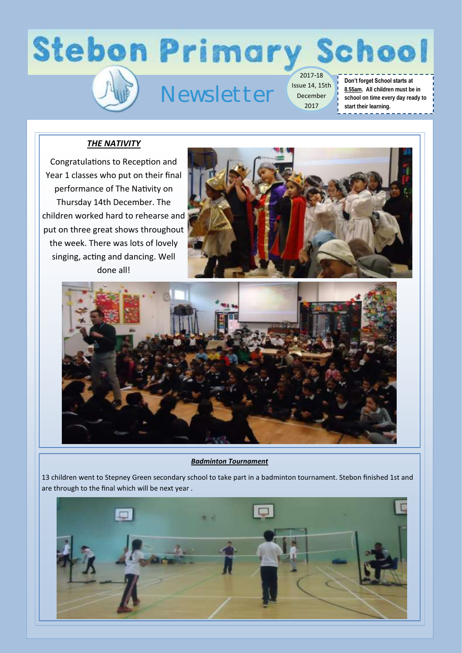# **Stebon Primary School**

# Newsletter

2017-18 Issue 14, 15th December 2017

### **Don't forget School starts at 8.55am. All children must be in school on time every day ready to start their learning.**

## *THE NATIVITY*

Congratulations to Reception and Year 1 classes who put on their final performance of The Nativity on Thursday 14th December. The children worked hard to rehearse and put on three great shows throughout the week. There was lots of lovely singing, acting and dancing. Well done all!





### *Badminton Tournament*

13 children went to Stepney Green secondary school to take part in a badminton tournament. Stebon finished 1st and are through to the final which will be next year .